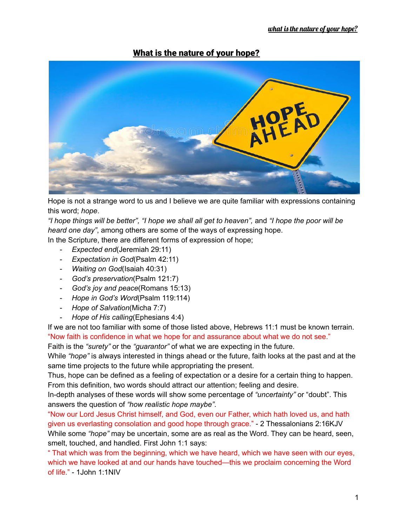## What is the nature of your hope?



Hope is not a strange word to us and I believe we are quite familiar with expressions containing this word; *hope*.

"I hope things will be better", "I hope we shall all get to heaven", and "I hope the poor will be *heard one day"*, among others are some of the ways of expressing hope.

In the Scripture, there are different forms of expression of hope;

- *Expected end*(Jeremiah 29:11)
- *Expectation in God*(Psalm 42:11)
- *Waiting on God*(Isaiah 40:31)
- *God's preservation*(Psalm 121:7)
- *God's joy and peace*(Romans 15:13)
- *Hope in God's Word*(Psalm 119:114)
- *Hope of Salvation*(Micha 7:7)
- *Hope of His calling*(Ephesians 4:4)

If we are not too familiar with some of those listed above, Hebrews 11:1 must be known terrain. "Now faith is confidence in what we hope for and assurance about what we do not see."

Faith is the *"surety"* or the *"guarantor"* of what we are expecting in the future.

While *"hope"* is always interested in things ahead or the future, faith looks at the past and at the same time projects to the future while appropriating the present.

Thus, hope can be defined as a feeling of expectation or a desire for a certain thing to happen. From this definition, two words should attract our attention; feeling and desire.

In-depth analyses of these words will show some percentage of *"uncertainty"* or "doubt". This answers the question of *"how realistic hope maybe"*.

"Now our Lord Jesus Christ himself, and God, even our Father, which hath loved us, and hath given us everlasting consolation and good hope through grace." - 2 Thessalonians 2:16KJV While some *"hope"* may be uncertain, some are as real as the Word. They can be heard, seen, smelt, touched, and handled. First John 1:1 says:

" That which was from the beginning, which we have heard, which we have seen with our eyes, which we have looked at and our hands have touched—this we proclaim concerning the Word of life." - 1John 1:1NIV